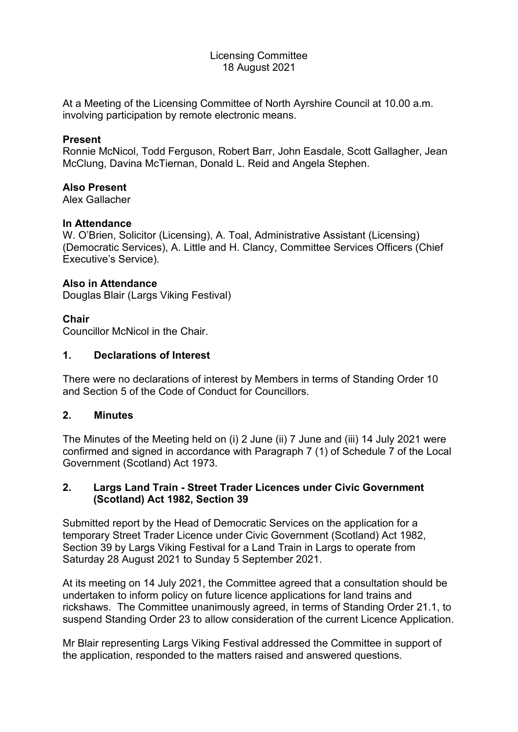## Licensing Committee 18 August 2021

At a Meeting of the Licensing Committee of North Ayrshire Council at 10.00 a.m. involving participation by remote electronic means.

### **Present**

Ronnie McNicol, Todd Ferguson, Robert Barr, John Easdale, Scott Gallagher, Jean McClung, Davina McTiernan, Donald L. Reid and Angela Stephen.

### **Also Present**

Alex Gallacher

### **In Attendance**

W. O'Brien, Solicitor (Licensing), A. Toal, Administrative Assistant (Licensing) (Democratic Services), A. Little and H. Clancy, Committee Services Officers (Chief Executive's Service).

### **Also in Attendance**

Douglas Blair (Largs Viking Festival)

## **Chair**

Councillor McNicol in the Chair.

### **1. Declarations of Interest**

There were no declarations of interest by Members in terms of Standing Order 10 and Section 5 of the Code of Conduct for Councillors.

#### **2. Minutes**

The Minutes of the Meeting held on (i) 2 June (ii) 7 June and (iii) 14 July 2021 were confirmed and signed in accordance with Paragraph 7 (1) of Schedule 7 of the Local Government (Scotland) Act 1973.

## **2. Largs Land Train - Street Trader Licences under Civic Government (Scotland) Act 1982, Section 39**

Submitted report by the Head of Democratic Services on the application for a temporary Street Trader Licence under Civic Government (Scotland) Act 1982, Section 39 by Largs Viking Festival for a Land Train in Largs to operate from Saturday 28 August 2021 to Sunday 5 September 2021.

At its meeting on 14 July 2021, the Committee agreed that a consultation should be undertaken to inform policy on future licence applications for land trains and rickshaws. The Committee unanimously agreed, in terms of Standing Order 21.1, to suspend Standing Order 23 to allow consideration of the current Licence Application.

Mr Blair representing Largs Viking Festival addressed the Committee in support of the application, responded to the matters raised and answered questions.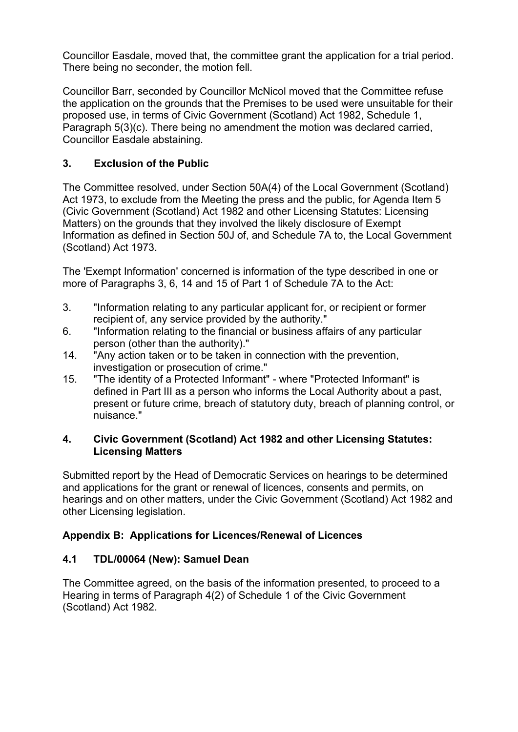Councillor Easdale, moved that, the committee grant the application for a trial period. There being no seconder, the motion fell.

Councillor Barr, seconded by Councillor McNicol moved that the Committee refuse the application on the grounds that the Premises to be used were unsuitable for their proposed use, in terms of Civic Government (Scotland) Act 1982, Schedule 1, Paragraph 5(3)(c). There being no amendment the motion was declared carried, Councillor Easdale abstaining.

# **3. Exclusion of the Public**

The Committee resolved, under Section 50A(4) of the Local Government (Scotland) Act 1973, to exclude from the Meeting the press and the public, for Agenda Item 5 (Civic Government (Scotland) Act 1982 and other Licensing Statutes: Licensing Matters) on the grounds that they involved the likely disclosure of Exempt Information as defined in Section 50J of, and Schedule 7A to, the Local Government (Scotland) Act 1973.

The 'Exempt Information' concerned is information of the type described in one or more of Paragraphs 3, 6, 14 and 15 of Part 1 of Schedule 7A to the Act:

- 3. "Information relating to any particular applicant for, or recipient or former recipient of, any service provided by the authority."
- 6. "Information relating to the financial or business affairs of any particular person (other than the authority)."
- 14. "Any action taken or to be taken in connection with the prevention, investigation or prosecution of crime."
- 15. "The identity of a Protected Informant" where "Protected Informant" is defined in Part III as a person who informs the Local Authority about a past, present or future crime, breach of statutory duty, breach of planning control, or nuisance."

## **4. Civic Government (Scotland) Act 1982 and other Licensing Statutes: Licensing Matters**

Submitted report by the Head of Democratic Services on hearings to be determined and applications for the grant or renewal of licences, consents and permits, on hearings and on other matters, under the Civic Government (Scotland) Act 1982 and other Licensing legislation.

# **Appendix B: Applications for Licences/Renewal of Licences**

## **4.1 TDL/00064 (New): Samuel Dean**

The Committee agreed, on the basis of the information presented, to proceed to a Hearing in terms of Paragraph 4(2) of Schedule 1 of the Civic Government (Scotland) Act 1982.